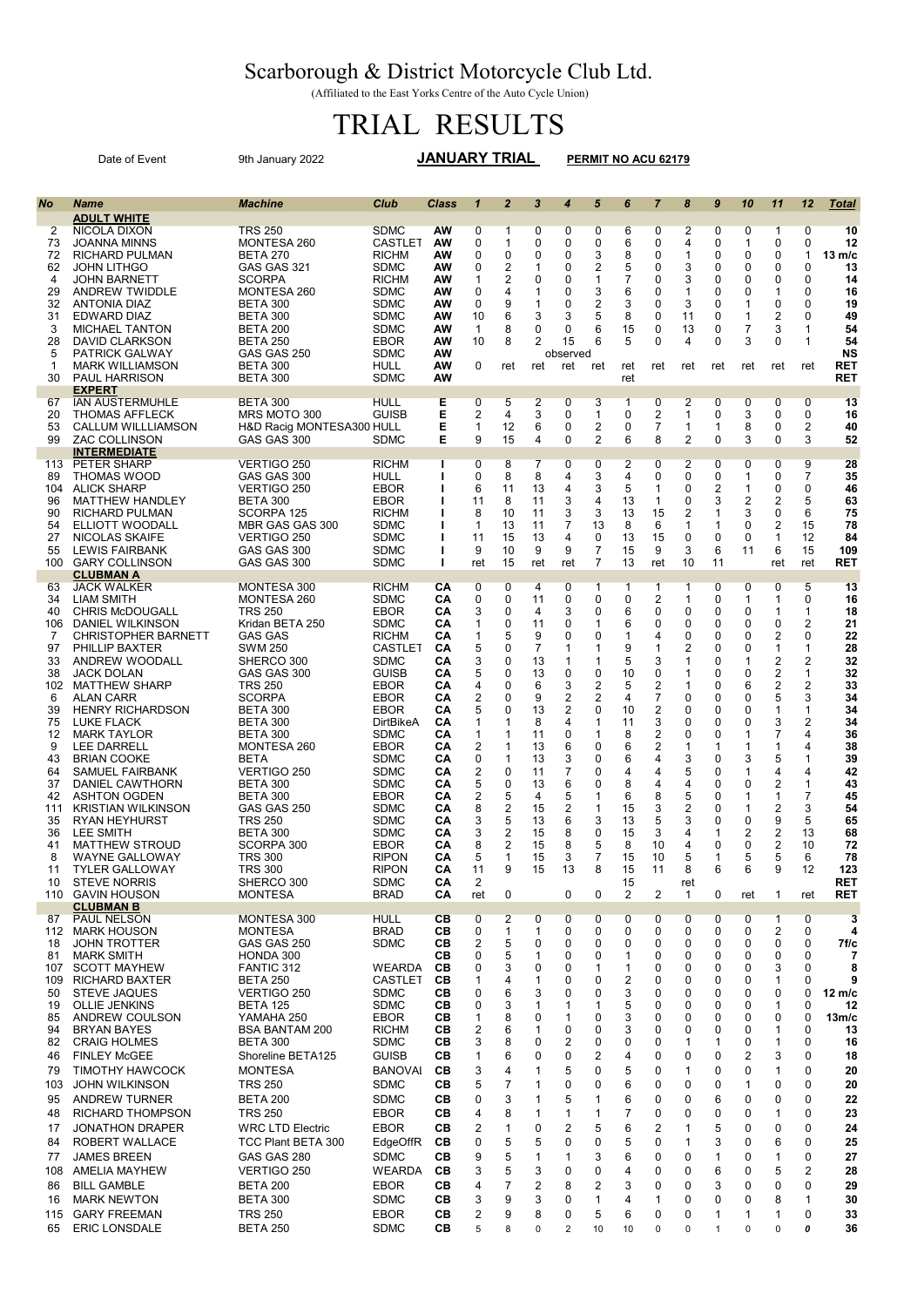## Scarborough & District Motorcycle Club Ltd.

(Affiliated to the East Yorks Centre of the Auto Cycle Union)

## TRIAL RESULTS

|                                                                                                                                                    | Date of Event                                                                                                                                                                                                                                                                                                                                                                                                                                                                                                                                                                                                              | <b>JANUARY TRIAL</b><br>9th January 2022                                                                                                                                                                                                                                                                                                                                                                                  |                                                                                                                                                                                                                                                                                                                                                  |                                                                                                                                                          |                                                                                                                                              | PERMIT NO ACU 62179                                                                                                                          |                                                                                                                                      |                                                                                                                            |                                                                                                                                      |                                                                                                                                                   |                                                                                                                                                                 |                                                                                                                                                                         |                                                                                                                                                       |                                                                                                                                                             |                                                                                                                                              |                                                                                                                                                                                               |                                                                                                                                                                           |
|----------------------------------------------------------------------------------------------------------------------------------------------------|----------------------------------------------------------------------------------------------------------------------------------------------------------------------------------------------------------------------------------------------------------------------------------------------------------------------------------------------------------------------------------------------------------------------------------------------------------------------------------------------------------------------------------------------------------------------------------------------------------------------------|---------------------------------------------------------------------------------------------------------------------------------------------------------------------------------------------------------------------------------------------------------------------------------------------------------------------------------------------------------------------------------------------------------------------------|--------------------------------------------------------------------------------------------------------------------------------------------------------------------------------------------------------------------------------------------------------------------------------------------------------------------------------------------------|----------------------------------------------------------------------------------------------------------------------------------------------------------|----------------------------------------------------------------------------------------------------------------------------------------------|----------------------------------------------------------------------------------------------------------------------------------------------|--------------------------------------------------------------------------------------------------------------------------------------|----------------------------------------------------------------------------------------------------------------------------|--------------------------------------------------------------------------------------------------------------------------------------|---------------------------------------------------------------------------------------------------------------------------------------------------|-----------------------------------------------------------------------------------------------------------------------------------------------------------------|-------------------------------------------------------------------------------------------------------------------------------------------------------------------------|-------------------------------------------------------------------------------------------------------------------------------------------------------|-------------------------------------------------------------------------------------------------------------------------------------------------------------|----------------------------------------------------------------------------------------------------------------------------------------------|-----------------------------------------------------------------------------------------------------------------------------------------------------------------------------------------------|---------------------------------------------------------------------------------------------------------------------------------------------------------------------------|
| No                                                                                                                                                 | <b>Name</b>                                                                                                                                                                                                                                                                                                                                                                                                                                                                                                                                                                                                                | <b>Machine</b>                                                                                                                                                                                                                                                                                                                                                                                                            | Club                                                                                                                                                                                                                                                                                                                                             | <b>Class</b>                                                                                                                                             | $\mathbf{1}$                                                                                                                                 | $\overline{2}$                                                                                                                               | 3                                                                                                                                    | $\overline{4}$                                                                                                             | 5                                                                                                                                    | 6                                                                                                                                                 | $\overline{7}$                                                                                                                                                  | 8                                                                                                                                                                       | $\boldsymbol{9}$                                                                                                                                      | 10                                                                                                                                                          | 11                                                                                                                                           | 12                                                                                                                                                                                            | <b>Total</b>                                                                                                                                                              |
| 2<br>73<br>72<br>62<br>4                                                                                                                           | <b>ADULT WHITE</b><br><b>NICOLA DIXON</b><br><b>JOANNA MINNS</b><br><b>RICHARD PULMAN</b><br><b>JOHN LITHGO</b><br><b>JOHN BARNETT</b>                                                                                                                                                                                                                                                                                                                                                                                                                                                                                     | TRS 250<br>MONTESA 260<br><b>BETA 270</b><br>GAS GAS 321<br><b>SCORPA</b>                                                                                                                                                                                                                                                                                                                                                 | SDMC<br><b>CASTLET</b><br><b>RICHM</b><br><b>SDMC</b><br><b>RICHM</b>                                                                                                                                                                                                                                                                            | AW<br><b>AW</b><br>AW<br>ΑW<br>ΑW                                                                                                                        | 0<br>0<br>0<br>0<br>1                                                                                                                        | 1<br>$\mathbf{1}$<br>0<br>2<br>$\overline{2}$                                                                                                | $\overline{0}$<br>0<br>0<br>1<br>0                                                                                                   | 0<br>0<br>0<br>0<br>0                                                                                                      | 0<br>0<br>3<br>2<br>$\mathbf{1}$                                                                                                     | 6<br>6<br>8<br>5<br>7                                                                                                                             | $\mathbf 0$<br>0<br>0<br>0<br>0                                                                                                                                 | $\overline{2}$<br>4<br>$\mathbf{1}$<br>3<br>3                                                                                                                           | 0<br>0<br>0<br>0<br>0                                                                                                                                 | $\mathbf 0$<br>$\mathbf{1}$<br>0<br>0<br>0                                                                                                                  | 1<br>0<br>0<br>0<br>0                                                                                                                        | $\overline{0}$<br>0<br>1<br>0<br>0                                                                                                                                                            | 10<br>12<br>13 m/c<br>13<br>14                                                                                                                                            |
| 29<br>32<br>31<br>3<br>28<br>5                                                                                                                     | ANDREW TWIDDLE<br><b>ANTONIA DIAZ</b><br><b>EDWARD DIAZ</b><br><b>MICHAEL TANTON</b><br>DAVID CLARKSON<br><b>PATRICK GALWAY</b>                                                                                                                                                                                                                                                                                                                                                                                                                                                                                            | MONTESA 260<br><b>BETA 300</b><br><b>BETA 300</b><br><b>BETA 200</b><br><b>BETA 250</b><br>GAS GAS 250<br><b>BETA 300</b>                                                                                                                                                                                                                                                                                                 | <b>SDMC</b><br><b>SDMC</b><br>SDMC<br><b>SDMC</b><br>EBOR<br><b>SDMC</b><br><b>HULL</b>                                                                                                                                                                                                                                                          | AW<br>ΑW<br>ΑW<br>ΑW<br>ΑW<br>ΑW<br>ΑW                                                                                                                   | 0<br>0<br>10<br>$\mathbf{1}$<br>10<br>0                                                                                                      | 4<br>9<br>6<br>8<br>8                                                                                                                        | 1<br>1<br>3<br>0<br>2                                                                                                                | 0<br>0<br>3<br>0<br>15<br>observed                                                                                         | 3<br>2<br>5<br>6<br>6                                                                                                                | 6<br>3<br>8<br>15<br>5                                                                                                                            | 0<br>0<br>0<br>0<br>0                                                                                                                                           | $\mathbf{1}$<br>3<br>11<br>13<br>4                                                                                                                                      | 0<br>0<br>0<br>0<br>$\mathbf 0$                                                                                                                       | 0<br>1<br>$\mathbf{1}$<br>$\overline{7}$<br>3                                                                                                               | 1<br>0<br>2<br>3<br>0                                                                                                                        | 0<br>0<br>0<br>1<br>1                                                                                                                                                                         | 16<br>19<br>49<br>54<br>54<br>NS<br><b>RET</b>                                                                                                                            |
| 1<br>30                                                                                                                                            | <b>MARK WILLIAMSON</b><br><b>PAUL HARRISON</b><br><b>EXPERT</b>                                                                                                                                                                                                                                                                                                                                                                                                                                                                                                                                                            | <b>BETA 300</b>                                                                                                                                                                                                                                                                                                                                                                                                           | <b>SDMC</b>                                                                                                                                                                                                                                                                                                                                      | ΑW                                                                                                                                                       |                                                                                                                                              | ret                                                                                                                                          | ret                                                                                                                                  | ret                                                                                                                        | ret                                                                                                                                  | ret<br>ret                                                                                                                                        | ret                                                                                                                                                             | ret                                                                                                                                                                     | ret                                                                                                                                                   | ret                                                                                                                                                         | ret                                                                                                                                          | ret                                                                                                                                                                                           | <b>RET</b>                                                                                                                                                                |
| 67<br>20<br>53<br>99                                                                                                                               | <b>IAN AUSTERMUHLE</b><br><b>THOMAS AFFLECK</b><br><b>CALLUM WILLLIAMSON</b><br><b>ZAC COLLINSON</b><br><b>INTERMEDIATE</b>                                                                                                                                                                                                                                                                                                                                                                                                                                                                                                | <b>BETA 300</b><br>MRS MOTO 300<br>H&D Racig MONTESA300 HULL<br>GAS GAS 300                                                                                                                                                                                                                                                                                                                                               | <b>HULL</b><br><b>GUISB</b><br><b>SDMC</b>                                                                                                                                                                                                                                                                                                       | Е<br>Е<br>Е<br>Е                                                                                                                                         | 0<br>2<br>1<br>9                                                                                                                             | $5\overline{}$<br>4<br>12<br>15                                                                                                              | $\overline{2}$<br>3<br>6<br>4                                                                                                        | 0<br>0<br>0<br>0                                                                                                           | 3<br>1<br>2<br>$\overline{2}$                                                                                                        | 1<br>0<br>0<br>6                                                                                                                                  | 0<br>2<br>7<br>8                                                                                                                                                | $\overline{2}$<br>$\mathbf{1}$<br>$\mathbf{1}$<br>2                                                                                                                     | 0<br>0<br>1<br>$\mathbf 0$                                                                                                                            | 0<br>3<br>8<br>3                                                                                                                                            | 0<br>0<br>0<br>0                                                                                                                             | 0<br>0<br>2<br>3                                                                                                                                                                              | 13<br>16<br>40<br>52                                                                                                                                                      |
| 89<br>104<br>96<br>90<br>54<br>27<br>55<br>100                                                                                                     | 113 PETER SHARP<br><b>THOMAS WOOD</b><br><b>ALICK SHARP</b><br><b>MATTHEW HANDLEY</b><br><b>RICHARD PULMAN</b><br>ELLIOTT WOODALL<br>NICOLAS SKAIFE<br><b>LEWIS FAIRBANK</b><br><b>GARY COLLINSON</b><br><b>CLUBMAN A</b>                                                                                                                                                                                                                                                                                                                                                                                                  | <b>VERTIGO 250</b><br>GAS GAS 300<br>VERTIGO 250<br><b>BETA 300</b><br>SCORPA 125<br>MBR GAS GAS 300<br>VERTIGO 250<br>GAS GAS 300<br>GAS GAS 300                                                                                                                                                                                                                                                                         | <b>RICHM</b><br><b>HULL</b><br><b>EBOR</b><br><b>EBOR</b><br><b>RICHM</b><br><b>SDMC</b><br><b>SDMC</b><br><b>SDMC</b><br><b>SDMC</b>                                                                                                                                                                                                            | Ι.<br>т<br>ı<br>ı<br>ı<br>ı<br>ı<br>$\mathbf{I}$                                                                                                         | $\overline{0}$<br>0<br>6<br>11<br>8<br>1<br>11<br>9<br>ret                                                                                   | 8<br>8<br>11<br>8<br>10<br>13<br>15<br>10<br>15                                                                                              | 7<br>8<br>13<br>11<br>11<br>11<br>13<br>9<br>ret                                                                                     | $\overline{0}$<br>4<br>4<br>3<br>3<br>$\overline{7}$<br>4<br>9<br>ret                                                      | 0<br>3<br>3<br>4<br>3<br>13<br>0<br>7<br>$\overline{7}$                                                                              | $\overline{2}$<br>4<br>5<br>13<br>13<br>8<br>13<br>15<br>13                                                                                       | 0<br>0<br>1<br>1<br>15<br>6<br>15<br>9<br>ret                                                                                                                   | $\overline{2}$<br>0<br>0<br>0<br>2<br>$\mathbf{1}$<br>$\Omega$<br>3<br>10                                                                                               | $\overline{0}$<br>0<br>2<br>3<br>1<br>1<br>0<br>6<br>11                                                                                               | $\overline{0}$<br>$\mathbf{1}$<br>$\mathbf{1}$<br>$\overline{2}$<br>3<br>$\mathbf 0$<br>$\Omega$<br>11                                                      | $\overline{0}$<br>0<br>0<br>2<br>0<br>2<br>1<br>6<br>ret                                                                                     | 9<br>$\overline{7}$<br>0<br>5<br>6<br>15<br>12<br>15<br>ret                                                                                                                                   | 28<br>35<br>46<br>63<br>75<br>78<br>84<br>109<br><b>RET</b>                                                                                                               |
| 63<br>34<br>40<br>106<br>7<br>97<br>33<br>38<br>6<br>39<br>75<br>12<br>9<br>43<br>64<br>37<br>42<br>111<br>35<br>36<br>41<br>8<br>11<br>10<br>110  | <b>JACK WALKER</b><br><b>LIAM SMITH</b><br><b>CHRIS McDOUGALL</b><br>DANIEL WILKINSON<br><b>CHRISTOPHER BARNETT</b><br>PHILLIP BAXTER<br>ANDREW WOODALL<br><b>JACK DOLAN</b><br>102 MATTHEW SHARP<br><b>ALAN CARR</b><br><b>HENRY RICHARDSON</b><br><b>LUKE FLACK</b><br><b>MARK TAYLOR</b><br><b>LEE DARRELL</b><br><b>BRIAN COOKE</b><br><b>SAMUEL FAIRBANK</b><br><b>DANIEL CAWTHORN</b><br>ASHTON OGDEN<br><b>KRISTIAN WILKINSON</b><br><b>RYAN HEYHURST</b><br>LEE SMITH<br><b>MATTHEW STROUD</b><br><b>WAYNE GALLOWAY</b><br><b>TYLER GALLOWAY</b><br><b>STEVE NORRIS</b><br><b>GAVIN HOUSON</b><br><b>CLUBMAN B</b> | MONTESA 300<br>MONTESA 260<br><b>TRS 250</b><br>Kridan BETA 250<br><b>GAS GAS</b><br><b>SWM 250</b><br>SHERCO 300<br>GAS GAS 300<br><b>TRS 250</b><br><b>SCORPA</b><br><b>BETA 300</b><br><b>BETA 300</b><br><b>BETA 300</b><br>MONTESA 260<br>BETA<br>VERTIGO 250<br><b>BETA 300</b><br>BETA 300<br>GAS GAS 250<br>TRS 250<br><b>BETA 300</b><br>SCORPA 300<br><b>TRS 300</b><br><b>TRS 300</b><br>SHERCO 300<br>MONTESA | <b>RICHM</b><br><b>SDMC</b><br><b>EBOR</b><br><b>SDMC</b><br><b>RICHM</b><br><b>CASTLET</b><br>SDMC<br><b>GUISB</b><br>EBOR<br><b>EBOR</b><br><b>EBOR</b><br>DirtBikeA<br><b>SDMC</b><br>EBOR<br>SDMC<br><b>SDMC</b><br><b>SDMC</b><br>EBOR<br><b>SDMC</b><br>SDMC<br><b>SDMC</b><br>EBOR<br><b>RIPON</b><br><b>RIPON</b><br>SDMC<br><b>BRAD</b> | CА<br>CА<br>CА<br>CА<br>CА<br>CА<br>CА<br>CА<br>CА<br>CА<br>CА<br>CА<br>CA<br>CА<br>CА<br>CА<br>CА<br>CА<br>CА<br>CА<br>CА<br>CА<br>CА<br>СA<br>CА<br>CА | 0<br>0<br>3<br>$\mathbf{1}$<br>1<br>5<br>3<br>5<br>4<br>2<br>5<br>1<br>1<br>2<br>0<br>2<br>5<br>2<br>8<br>3<br>3<br>8<br>5<br>11<br>2<br>ret | 0<br>0<br>0<br>0<br>5<br>0<br>0<br>0<br>0<br>0<br>0<br>1<br>1<br>1<br>1<br>0<br>0<br>5<br>2<br>5<br>2<br>2<br>1<br>9<br>0                    | 4<br>11<br>4<br>11<br>9<br>7<br>13<br>13<br>6<br>9<br>13<br>8<br>11<br>13<br>13<br>11<br>13<br>4<br>15<br>13<br>15<br>15<br>15<br>15 | 0<br>0<br>3<br>0<br>0<br>1<br>1<br>0<br>3<br>2<br>2<br>4<br>0<br>6<br>3<br>7<br>6<br>5<br>2<br>6<br>8<br>8<br>3<br>13<br>0 | $\mathbf{1}$<br>0<br>0<br>1<br>0<br>1<br>1<br>0<br>2<br>2<br>0<br>1<br>1<br>0<br>0<br>0<br>0<br>1<br>1<br>3<br>0<br>5<br>7<br>8<br>0 | 1<br>0<br>6<br>6<br>$\mathbf 1$<br>9<br>5<br>10<br>5<br>4<br>10<br>11<br>8<br>6<br>6<br>4<br>8<br>6<br>15<br>13<br>15<br>8<br>15<br>15<br>15<br>2 | 1<br>2<br>0<br>0<br>4<br>1<br>3<br>0<br>2<br>$\overline{7}$<br>$\overline{\mathbf{c}}$<br>3<br>2<br>2<br>4<br>4<br>4<br>8<br>3<br>5<br>3<br>10<br>10<br>11<br>2 | 1<br>$\mathbf{1}$<br>0<br>0<br>$\mathbf 0$<br>2<br>1<br>$\mathbf 1$<br>1<br>0<br>$\Omega$<br>0<br>0<br>1<br>3<br>5<br>4<br>5<br>2<br>3<br>4<br>4<br>5<br>8<br>ret<br>-1 | 0<br>0<br>0<br>0<br>0<br>0<br>0<br>0<br>0<br>0<br>0<br>0<br>0<br>1<br>0<br>0<br>$\mathbf 0$<br>0<br>0<br>0<br>$\mathbf{1}$<br>$\Omega$<br>1<br>6<br>0 | 0<br>$\mathbf{1}$<br>0<br>0<br>0<br>0<br>1<br>0<br>6<br>0<br>0<br>0<br>1<br>1<br>3<br>1<br>0<br>$\mathbf{1}$<br>$\mathbf 1$<br>0<br>2<br>0<br>5<br>6<br>ret | 0<br>$\mathbf{1}$<br>1<br>0<br>2<br>1<br>2<br>2<br>2<br>5<br>1<br>3<br>$\overline{7}$<br>1<br>5<br>4<br>2<br>1<br>2<br>9<br>2<br>5<br>9<br>1 | 5<br>0<br>$\mathbf{1}$<br>$\overline{2}$<br>0<br>1<br>$\overline{2}$<br>1<br>2<br>3<br>1<br>2<br>$\overline{4}$<br>4<br>1<br>4<br>1<br>$\overline{7}$<br>3<br>5<br>13<br>10<br>6<br>12<br>ret | 13<br>16<br>18<br>21<br>22<br>28<br>32<br>32<br>33<br>34<br>34<br>34<br>36<br>38<br>39<br>42<br>43<br>45<br>54<br>65<br>68<br>72<br>78<br>123<br><b>RET</b><br><b>RET</b> |
| 87<br>112<br>18<br>81<br>107<br>109<br>50<br>19<br>85<br>94<br>82<br>46<br>79<br>103<br>95<br>48<br>17<br>84<br>77<br>108<br>86<br>16<br>115<br>65 | <b>PAUL NELSON</b><br><b>MARK HOUSON</b><br><b>JOHN TROTTER</b><br><b>MARK SMITH</b><br><b>SCOTT MAYHEW</b><br><b>RICHARD BAXTER</b><br><b>STEVE JAQUES</b><br><b>OLLIE JENKINS</b><br>ANDREW COULSON<br><b>BRYAN BAYES</b><br><b>CRAIG HOLMES</b><br><b>FINLEY McGEE</b><br><b>TIMOTHY HAWCOCK</b><br><b>JOHN WILKINSON</b><br><b>ANDREW TURNER</b><br><b>RICHARD THOMPSON</b><br><b>JONATHON DRAPER</b><br>ROBERT WALLACE<br><b>JAMES BREEN</b><br>AMELIA MAYHEW<br><b>BILL GAMBLE</b><br><b>MARK NEWTON</b><br><b>GARY FREEMAN</b><br><b>ERIC LONSDALE</b>                                                              | <b>MONTESA 300</b><br>MONTESA<br>GAS GAS 250<br>HONDA 300<br>FANTIC 312<br><b>BETA 250</b><br>VERTIGO 250<br><b>BETA 125</b><br>YAMAHA 250<br><b>BSA BANTAM 200</b><br><b>BETA 300</b><br>Shoreline BETA125<br><b>MONTESA</b><br>TRS 250<br><b>BETA 200</b><br>TRS 250<br><b>WRC LTD Electric</b><br>TCC Plant BETA 300<br>GAS GAS 280<br>VERTIGO 250<br><b>BETA 200</b><br><b>BETA 300</b><br>TRS 250<br><b>BETA 250</b> | <b>HULL</b><br><b>BRAD</b><br><b>SDMC</b><br>WEARDA<br>CASTLET<br>SDMC<br>SDMC<br>EBOR<br><b>RICHM</b><br><b>SDMC</b><br><b>GUISB</b><br><b>BANOVAI</b><br>SDMC<br>SDMC<br><b>EBOR</b><br><b>EBOR</b><br>EdgeOffR<br>SDMC<br>WEARDA<br>EBOR<br><b>SDMC</b><br>EBOR<br><b>SDMC</b>                                                                | CB<br>CВ<br>CВ<br>CВ<br>CВ<br>CВ<br>CВ<br>CВ<br>CВ<br>CВ<br>CВ<br>CВ<br>CВ<br>CВ<br>CВ<br>CВ<br>CВ<br>CВ<br>CВ<br>CВ<br>CВ<br>CВ<br>CВ<br>CВ             | 0<br>0<br>2<br>0<br>0<br>1<br>0<br>0<br>$\mathbf{1}$<br>2<br>3<br>1<br>3<br>5<br>0<br>4<br>2<br>0<br>9<br>3<br>4<br>3<br>2<br>5              | $\overline{2}$<br>$\mathbf{1}$<br>5<br>5<br>3<br>4<br>6<br>3<br>8<br>6<br>8<br>6<br>4<br>7<br>3<br>8<br>1<br>5<br>5<br>5<br>7<br>9<br>9<br>8 | 0<br>1<br>0<br>1<br>0<br>1<br>3<br>1<br>0<br>1<br>0<br>0<br>1<br>1<br>1<br>1<br>0<br>5<br>1<br>3<br>2<br>3<br>8<br>0                 | 0<br>0<br>0<br>0<br>0<br>0<br>0<br>1<br>1<br>0<br>2<br>0<br>5<br>0<br>5<br>1<br>2<br>0<br>1<br>0<br>8<br>0<br>0<br>2       | 0<br>0<br>0<br>0<br>1<br>0<br>0<br>1<br>0<br>0<br>0<br>2<br>0<br>0<br>1<br>1<br>5<br>0<br>3<br>0<br>2<br>1<br>5<br>10                | 0<br>0<br>0<br>1<br>1<br>2<br>3<br>5<br>3<br>3<br>0<br>4<br>5<br>6<br>6<br>7<br>6<br>5<br>6<br>4<br>3<br>4<br>6<br>10                             | $\overline{0}$<br>0<br>0<br>0<br>0<br>0<br>0<br>0<br>0<br>0<br>0<br>0<br>0<br>0<br>0<br>0<br>2<br>0<br>0<br>0<br>0<br>1<br>0<br>0                               | $\overline{0}$<br>0<br>0<br>0<br>0<br>0<br>0<br>0<br>0<br>0<br>1<br>0<br>$\mathbf{1}$<br>0<br>0<br>0<br>$\mathbf{1}$<br>1<br>0<br>0<br>0<br>0<br>0<br>0                 | $\overline{0}$<br>0<br>0<br>0<br>0<br>0<br>0<br>0<br>0<br>0<br>1<br>0<br>0<br>0<br>6<br>0<br>5<br>3<br>1<br>6<br>3<br>0<br>1<br>1                     | $\overline{0}$<br>0<br>0<br>0<br>0<br>0<br>0<br>0<br>0<br>0<br>0<br>$\overline{2}$<br>0<br>$\mathbf{1}$<br>0<br>0<br>0<br>0<br>0<br>0<br>0<br>0<br>1<br>0   | 1<br>2<br>0<br>0<br>3<br>1<br>0<br>1<br>0<br>1<br>1<br>3<br>1<br>0<br>0<br>1<br>0<br>6<br>1<br>5<br>0<br>8<br>1<br>0                         | $\overline{0}$<br>0<br>0<br>0<br>0<br>0<br>0<br>0<br>0<br>0<br>0<br>0<br>0<br>0<br>0<br>0<br>0<br>0<br>0<br>2<br>0<br>1<br>0<br>0                                                             | 3<br>4<br>7f/c<br>8<br>9<br>$12 \text{ m/c}$<br>12<br>13m/c<br>13<br>16<br>18<br>20<br>20<br>22<br>23<br>24<br>25<br>27<br>28<br>29<br>30<br>33<br>36                     |